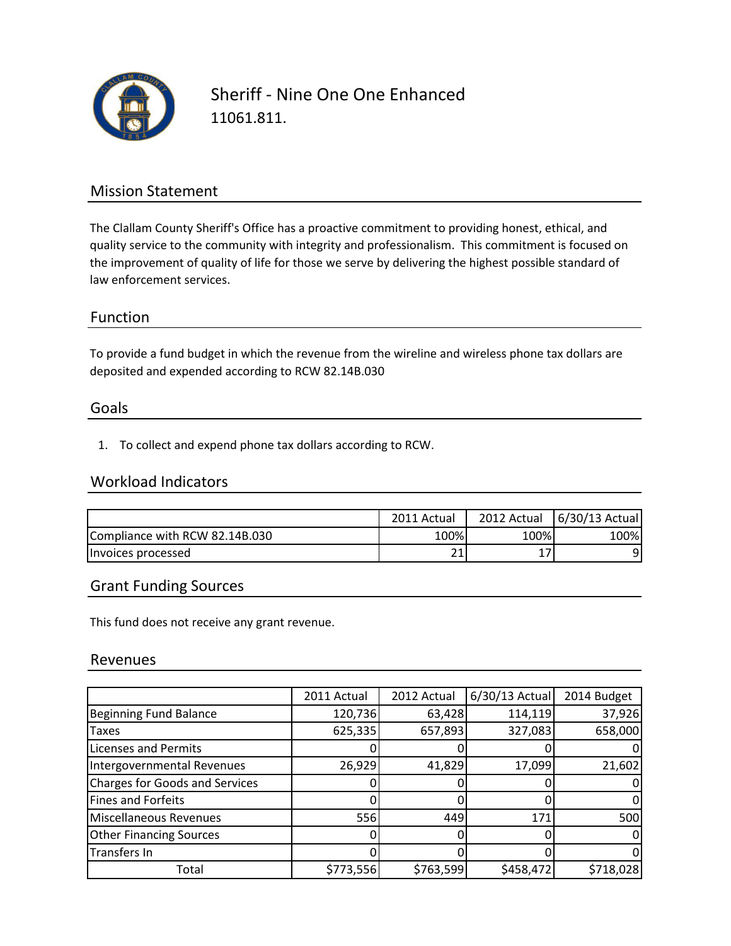

Sheriff - Nine One One Enhanced 11061.811.

### Mission Statement

The Clallam County Sheriff's Office has a proactive commitment to providing honest, ethical, and quality service to the community with integrity and professionalism. This commitment is focused on the improvement of quality of life for those we serve by delivering the highest possible standard of law enforcement services.

### Function

To provide a fund budget in which the revenue from the wireline and wireless phone tax dollars are deposited and expended according to RCW 82.14B.030

#### Goals

1. To collect and expend phone tax dollars according to RCW.

## Workload Indicators

|                                | 2011 Actual  | 2012 Actual | 6/30/13 Actual |
|--------------------------------|--------------|-------------|----------------|
| Compliance with RCW 82.14B.030 | 100%         | 100%        | 100%           |
| Invoices processed             | $\mathbf{A}$ |             | ΩI             |

### Grant Funding Sources

This fund does not receive any grant revenue.

#### Revenues

|                                       | 2011 Actual | 2012 Actual | $6/30/13$ Actual | 2014 Budget |
|---------------------------------------|-------------|-------------|------------------|-------------|
| Beginning Fund Balance                | 120,736     | 63,428      | 114,119          | 37,926      |
| Taxes                                 | 625,335     | 657,893     | 327,083          | 658,000     |
| <b>Licenses and Permits</b>           |             |             |                  |             |
| Intergovernmental Revenues            | 26,929      | 41,829      | 17,099           | 21,602      |
| <b>Charges for Goods and Services</b> |             |             |                  |             |
| Fines and Forfeits                    |             |             |                  |             |
| Miscellaneous Revenues                | 556         | 449         | 171              | 500         |
| <b>Other Financing Sources</b>        |             |             |                  |             |
| Transfers In                          |             |             |                  |             |
| Total                                 | \$773,556   | \$763,599   | \$458,472        | \$718,028   |